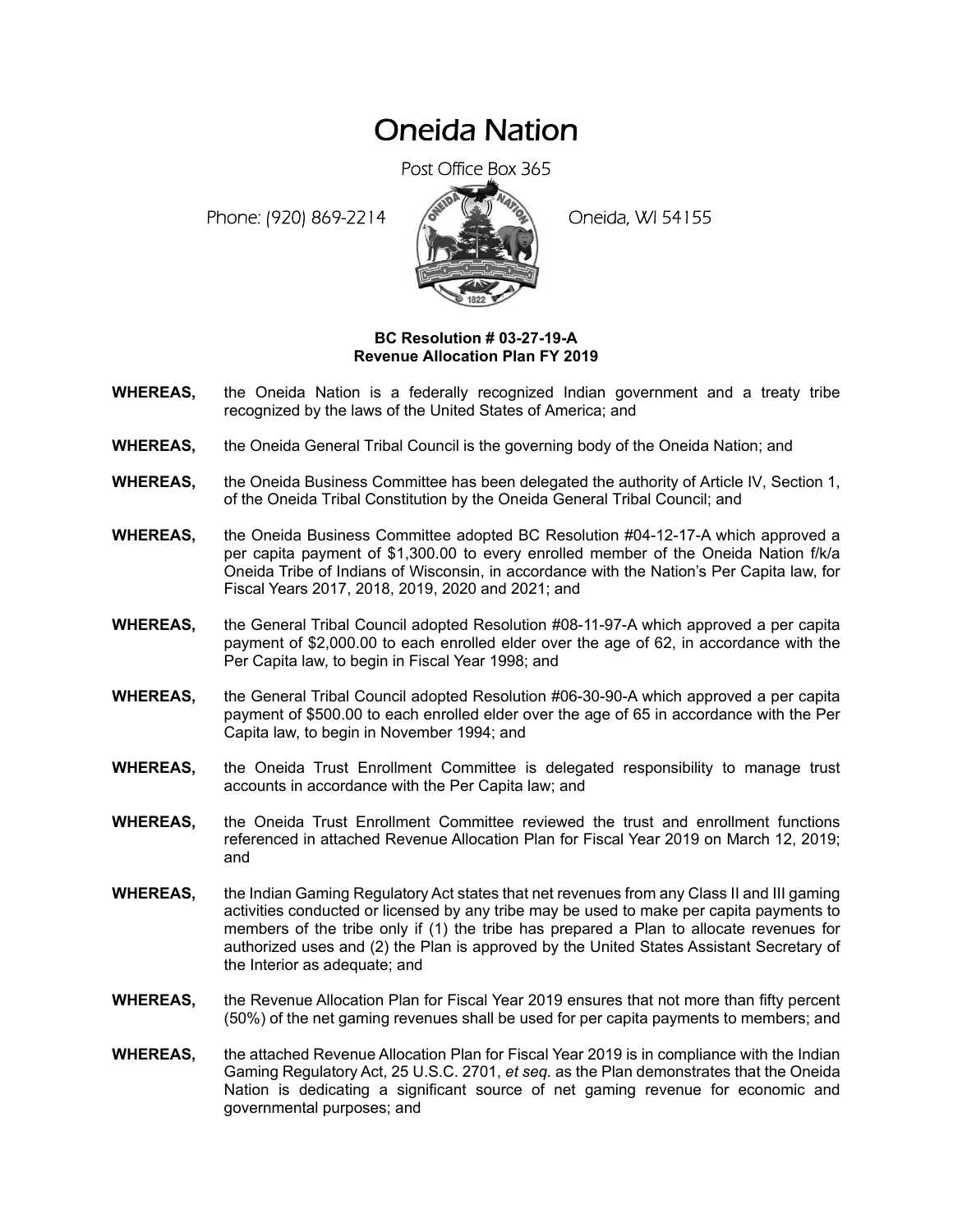## Oneida Nation

Post Office Box 365

Phone: (920) 869-2214 (8 April 194155)



## **BC Resolution # 03-27-19-A Revenue Allocation Plan FY 2019**

- **WHEREAS,** the Oneida Nation is a federally recognized Indian government and a treaty tribe recognized by the laws of the United States of America; and
- **WHEREAS,** the Oneida General Tribal Council is the governing body of the Oneida Nation; and
- **WHEREAS,** the Oneida Business Committee has been delegated the authority of Article IV, Section 1, of the Oneida Tribal Constitution by the Oneida General Tribal Council; and
- **WHEREAS,** the Oneida Business Committee adopted BC Resolution #04-12-17-A which approved a per capita payment of \$1,300.00 to every enrolled member of the Oneida Nation f/k/a Oneida Tribe of Indians of Wisconsin, in accordance with the Nation's Per Capita law, for Fiscal Years 2017, 2018, 2019, 2020 and 2021; and
- **WHEREAS,** the General Tribal Council adopted Resolution #08-11-97-A which approved a per capita payment of \$2,000.00 to each enrolled elder over the age of 62, in accordance with the Per Capita law, to begin in Fiscal Year 1998; and
- **WHEREAS,** the General Tribal Council adopted Resolution #06-30-90-A which approved a per capita payment of \$500.00 to each enrolled elder over the age of 65 in accordance with the Per Capita law, to begin in November 1994; and
- **WHEREAS,** the Oneida Trust Enrollment Committee is delegated responsibility to manage trust accounts in accordance with the Per Capita law; and
- **WHEREAS,** the Oneida Trust Enrollment Committee reviewed the trust and enrollment functions referenced in attached Revenue Allocation Plan for Fiscal Year 2019 on March 12, 2019; and
- **WHEREAS,** the Indian Gaming Regulatory Act states that net revenues from any Class II and III gaming activities conducted or licensed by any tribe may be used to make per capita payments to members of the tribe only if (1) the tribe has prepared a Plan to allocate revenues for authorized uses and (2) the Plan is approved by the United States Assistant Secretary of the Interior as adequate; and
- **WHEREAS,** the Revenue Allocation Plan for Fiscal Year 2019 ensures that not more than fifty percent (50%) of the net gaming revenues shall be used for per capita payments to members; and
- **WHEREAS,** the attached Revenue Allocation Plan for Fiscal Year 2019 is in compliance with the Indian Gaming Regulatory Act, 25 U.S.C. 2701, *et seq.* as the Plan demonstrates that the Oneida Nation is dedicating a significant source of net gaming revenue for economic and governmental purposes; and